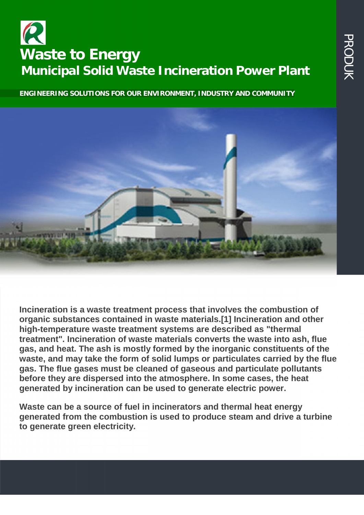## **PENGOLAHAN REPORT OF REAL PROPERTY CANCEL ANAING AN AIRCRY**<br> **BERBASIS EXECTS**<br>
Municipal Solid Waste Incineration Power Plant<br>
MINGINEERING SOLUTIONS FOR OUR ENVIRONMENT, INDUSTRY AND COMMUNITY **Waste to Energy Municipal Solid Waste Incineration Power Plant**

**ENGINEERING SOLUTIONS FOR OUR ENVIRONMENT, INDUSTRY AND COMMUNITY**



**Incineration is a waste treatment process that involves the combustion of organic substances contained in waste materials.[1] Incineration and other high-temperature waste treatment systems are described as "thermal treatment". Incineration of waste materials converts the waste into ash, flue gas, and heat. The ash is mostly formed by the inorganic constituents of the waste, and may take the form of solid lumps or particulates carried by the flue gas. The flue gases must be cleaned of gaseous and particulate pollutants before they are dispersed into the atmosphere. In some cases, the heat generated by incineration can be used to generate electric power.**

**Waste can be a source of fuel in incinerators and thermal heat energy generated from the combustion is used to produce steam anddrive a turbine to generate green electricity.**